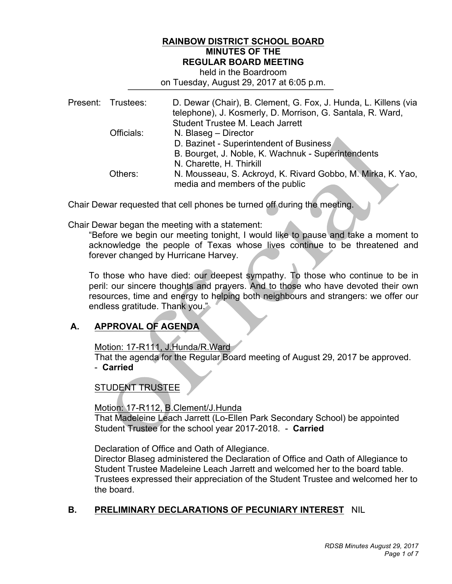# **RAINBOW DISTRICT SCHOOL BOARD MINUTES OF THE REGULAR BOARD MEETING**

#### on Tuesday, August 29, 2017 at 6:05 p.m. held in the Boardroom

|  | Present: Trustees: | D. Dewar (Chair), B. Clement, G. Fox, J. Hunda, L. Killens (via<br>telephone), J. Kosmerly, D. Morrison, G. Santala, R. Ward, |
|--|--------------------|-------------------------------------------------------------------------------------------------------------------------------|
|  |                    | Student Trustee M. Leach Jarrett                                                                                              |
|  | Officials:         | N. Blaseg - Director                                                                                                          |
|  |                    | D. Bazinet - Superintendent of Business                                                                                       |
|  |                    | B. Bourget, J. Noble, K. Wachnuk - Superintendents                                                                            |
|  |                    | N. Charette, H. Thirkill                                                                                                      |
|  | Others:            | N. Mousseau, S. Ackroyd, K. Rivard Gobbo, M. Mirka, K. Yao,<br>media and members of the public                                |
|  |                    |                                                                                                                               |

Chair Dewar requested that cell phones be turned off during the meeting.

Chair Dewar began the meeting with a statement:

 "Before we begin our meeting tonight, I would like to pause and take a moment to acknowledge the people of Texas whose lives continue to be threatened and forever changed by Hurricane Harvey.

 To those who have died: our deepest sympathy. To those who continue to be in peril: our sincere thoughts and prayers. And to those who have devoted their own resources, time and energy to helping both neighbours and strangers: we offer our endless gratitude. Thank you."

# **A. APPROVAL OF AGENDA**

Motion: 17-R111, J.Hunda/R.Ward

 - **Carried**  That the agenda for the Regular Board meeting of August 29, 2017 be approved.

# STUDENT TRUSTEE

 That Madeleine Leach Jarrett (Lo-Ellen Park Secondary School) be appointed Student Trustee for the school year 2017-2018. - **Carried**  Motion: 17-R112, B.Clement/J.Hunda

Declaration of Office and Oath of Allegiance.

 Director Blaseg administered the Declaration of Office and Oath of Allegiance to Student Trustee Madeleine Leach Jarrett and welcomed her to the board table. Trustees expressed their appreciation of the Student Trustee and welcomed her to the board.

# **B. PRELIMINARY DECLARATIONS OF PECUNIARY INTEREST** NIL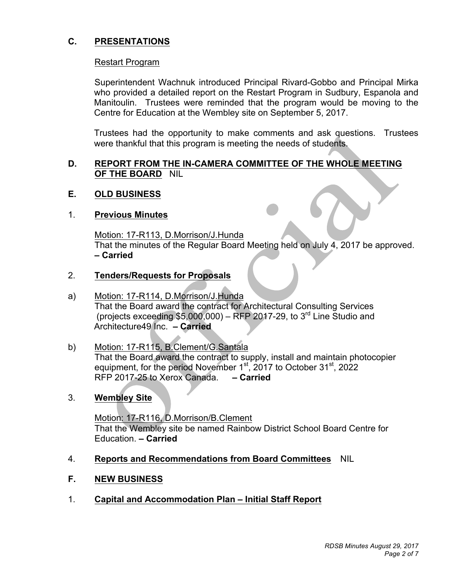# **C. PRESENTATIONS**

#### Restart Program

 who provided a detailed report on the Restart Program in Sudbury, Espanola and Manitoulin. Trustees were reminded that the program would be moving to the Centre for Education at the Wembley site on September 5, 2017. Superintendent Wachnuk introduced Principal Rivard-Gobbo and Principal Mirka

 Trustees had the opportunity to make comments and ask questions. Trustees were thankful that this program is meeting the needs of students.

#### **D. REPORT FROM THE IN-CAMERA COMMITTEE OF THE WHOLE MEETING OF THE BOARD** NIL

#### **E. OLD BUSINESS**

#### 1. **Previous Minutes**

 That the minutes of the Regular Board Meeting held on July 4, 2017 be approved.  **– Carried**  Motion: 17-R113, D.Morrison/J.Hunda

ľ

#### 2. **Tenders/Requests for Proposals**

- a) Motion: 17-R114, D.Morrison/J.Hunda That the Board award the contract for Architectural Consulting Services (projects exceeding \$5,000,000) – RFP 2017-29, to  $3^{\text{rd}}$  Line Studio and Architecture49 Inc. **– Carried**
- Motion: 17-R115, B.Clement/G.Santala equipment, for the period November 1<sup>st</sup>, 2017 to October 31<sup>st</sup>, 2022 RFP 2017-25 to Xerox Canada. **– Carried**  b) Motion: 17-R115, B.Clement/G.Santala Motion: 17-R115, B.Clement/G.Santala Motion install and maintain photocopier
- 3. **Wembley Site**

 Motion: 17-R116, D.Morrison/B.Clement That the Wembley site be named Rainbow District School Board Centre for Education. **– Carried** 

- 4. **Reports and Recommendations from Board Committees** NIL
- $F_{\rm{r}}$ **F. NEW BUSINESS**
- 1. **Capital and Accommodation Plan Initial Staff Report**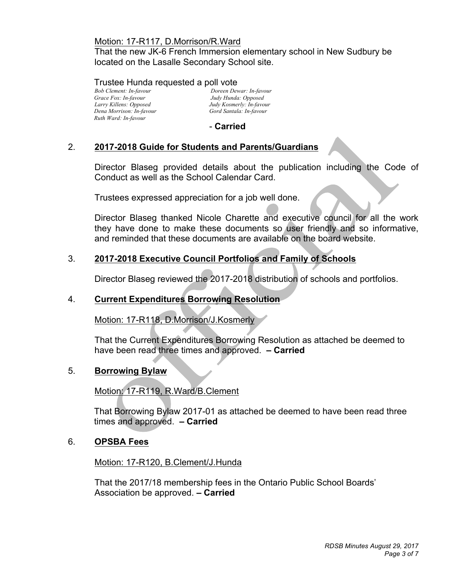#### Motion: 17-R117, D.Morrison/R.Ward

 That the new JK-6 French Immersion elementary school in New Sudbury be located on the Lasalle Secondary School site.

### Trustee Hunda requested a poll vote

Grace Fox: In-favour Larry Killens: Opposed  *Dena Morrison: In-favour Gord Santala: In-favour Ruth Ward: In-favour* 

*Bob Clement: In-favour Doreen Dewar: In-favour Grace Fox: In-favour Judy Hunda: Opposed Judy Kosmerly: In-favour*<br>*Gord Santala: In-favour* 

- **Carried** 

## 2. **2017-2018 Guide for Students and Parents/Guardians**

 Director Blaseg provided details about the publication including the Code of Conduct as well as the School Calendar Card.

Trustees expressed appreciation for a job well done.

 Director Blaseg thanked Nicole Charette and executive council for all the work they have done to make these documents so user friendly and so informative, and reminded that these documents are available on the board website.

# 3. **2017-2018 Executive Council Portfolios and Family of Schools**

Director Blaseg reviewed the 2017-2018 distribution of schools and portfolios.

### 4. **Current Expenditures Borrowing Resolution**

Motion: 17-R118, D.Morrison/J.Kosmerly

 have been read three times and approved. **– Carried**  That the Current Expenditures Borrowing Resolution as attached be deemed to

### 5. **Borrowing Bylaw**

Motion: 17-R119, R.Ward/B.Clement

 That Borrowing Bylaw 2017-01 as attached be deemed to have been read three times and approved. **– Carried** 

### 6. **OPSBA Fees**

Motion: 17-R120, B.Clement/J.Hunda

 Association be approved. **– Carried**  That the 2017/18 membership fees in the Ontario Public School Boards'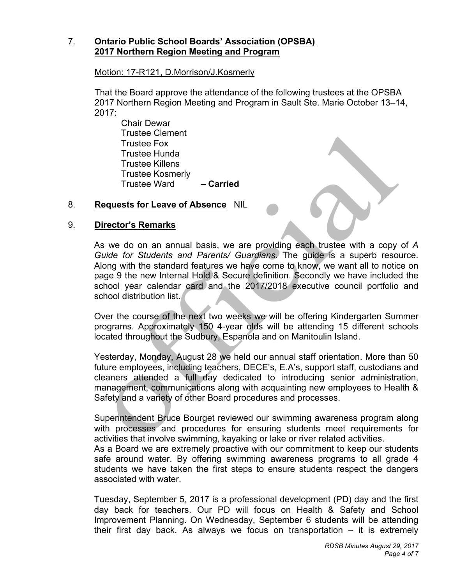## 7. **Ontario Public School Boards' Association (OPSBA) 2017 Northern Region Meeting and Program**

Motion: 17-R121, D.Morrison/J.Kosmerly

 2017 Northern Region Meeting and Program in Sault Ste. Marie October 13–14,  $2017:$ That the Board approve the attendance of the following trustees at the OPSBA

Chair Dewar Trustee Clement Trustee Fox Trustee Hunda Trustee Killens Trustee Kosmerly Trustee Ward **– Carried**

## 8. **Requests for Leave of Absence** NIL

## 9. **Director's Remarks**

 As we do on an annual basis, we are providing each trustee with a copy of *A Guide for Students and Parents/ Guardians*. The guide is a superb resource. Along with the standard features we have come to know, we want all to notice on page 9 the new Internal Hold & Secure definition. Secondly we have included the school year calendar card and the 2017/2018 executive council portfolio and school distribution list.

 $\overline{\phantom{a}}$ 

 Over the course of the next two weeks we will be offering Kindergarten Summer programs. Approximately 150 4-year olds will be attending 15 different schools located throughout the Sudbury, Espanola and on Manitoulin Island.

 Yesterday, Monday, August 28 we held our annual staff orientation. More than 50 future employees, including teachers, DECE's, E.A's, support staff, custodians and cleaners attended a full day dedicated to introducing senior administration, management, communications along with acquainting new employees to Health & Safety and a variety of other Board procedures and processes.

 Superintendent Bruce Bourget reviewed our swimming awareness program along activities that involve swimming, kayaking or lake or river related activities. with processes and procedures for ensuring students meet requirements for

 As a Board we are extremely proactive with our commitment to keep our students safe around water. By offering swimming awareness programs to all grade 4 students we have taken the first steps to ensure students respect the dangers associated with water.

 Tuesday, September 5, 2017 is a professional development (PD) day and the first day back for teachers. Our PD will focus on Health & Safety and School Improvement Planning. On Wednesday, September 6 students will be attending their first day back. As always we focus on transportation – it is extremely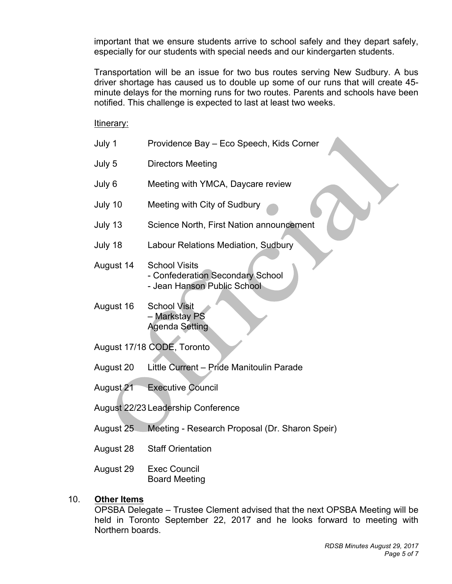important that we ensure students arrive to school safely and they depart safely, especially for our students with special needs and our kindergarten students.

 Transportation will be an issue for two bus routes serving New Sudbury. A bus driver shortage has caused us to double up some of our runs that will create 45- minute delays for the morning runs for two routes. Parents and schools have been notified. This challenge is expected to last at least two weeks.

Itinerary:

| July 1    | Providence Bay - Eco Speech, Kids Corner                                                |
|-----------|-----------------------------------------------------------------------------------------|
| July 5    | <b>Directors Meeting</b>                                                                |
| July 6    | Meeting with YMCA, Daycare review                                                       |
| July 10   | Meeting with City of Sudbury                                                            |
| July 13   | Science North, First Nation announcement                                                |
| July 18   | Labour Relations Mediation, Sudbury                                                     |
| August 14 | <b>School Visits</b><br>- Confederation Secondary School<br>- Jean Hanson Public School |
| August 16 | <b>School Visit</b><br>- Markstay PS                                                    |

August 17/18 CODE, Toronto

August 20 Little Current – Pride Manitoulin Parade

Ì

August 21 **Executive Council** 

August 22/23 Leadership Conference

Agenda Setting

- August 25 Meeting - Research Proposal (Dr. Sharon Speir)
- August 28 **Staff Orientation**

August 29 **Exec Council** Board Meeting

### 10. **Other Items**

 OPSBA Delegate – Trustee Clement advised that the next OPSBA Meeting will be held in Toronto September 22, 2017 and he looks forward to meeting with Northern boards.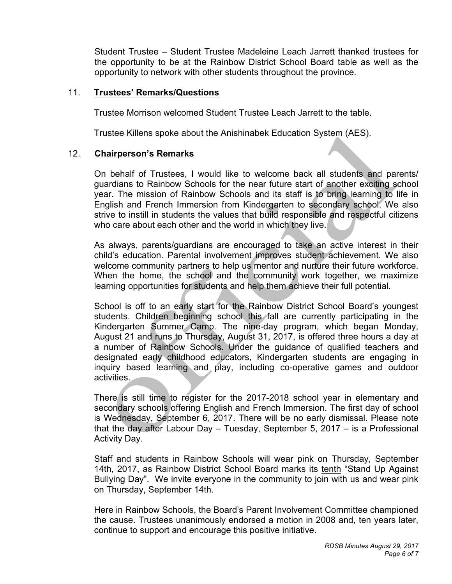Student Trustee – Student Trustee Madeleine Leach Jarrett thanked trustees for the opportunity to be at the Rainbow District School Board table as well as the opportunity to network with other students throughout the province.

#### 11. **Trustees' Remarks/Questions**

Trustee Morrison welcomed Student Trustee Leach Jarrett to the table.

Trustee Killens spoke about the Anishinabek Education System (AES).

#### 12. **Chairperson's Remarks**

 On behalf of Trustees, I would like to welcome back all students and parents/ guardians to Rainbow Schools for the near future start of another exciting school year. The mission of Rainbow Schools and its staff is to bring learning to life in English and French Immersion from Kindergarten to secondary school. We also strive to instill in students the values that build responsible and respectful citizens who care about each other and the world in which they live.

 As always, parents/guardians are encouraged to take an active interest in their child's education. Parental involvement improves student achievement. We also welcome community partners to help us mentor and nurture their future workforce. When the home, the school and the community work together, we maximize learning opportunities for students and help them achieve their full potential.

 School is off to an early start for the Rainbow District School Board's youngest students. Children beginning school this fall are currently participating in the Kindergarten Summer Camp. The nine-day program, which began Monday, August 21 and runs to Thursday, August 31, 2017, is offered three hours a day at a number of Rainbow Schools. Under the guidance of qualified teachers and designated early childhood educators, Kindergarten students are engaging in inquiry based learning and play, including co-operative games and outdoor activities.

 There is still time to register for the 2017-2018 school year in elementary and secondary schools offering English and French Immersion. The first day of school is Wednesday, September 6, 2017. There will be no early dismissal. Please note that the day after Labour Day – Tuesday, September 5, 2017 – is a Professional Activity Day.

 Staff and students in Rainbow Schools will wear pink on Thursday, September 14th, 2017, as Rainbow District School Board marks its tenth "Stand Up Against Bullying Day". We invite everyone in the community to join with us and wear pink on Thursday, September 14th.

 Here in Rainbow Schools, the Board's Parent Involvement Committee championed the cause. Trustees unanimously endorsed a motion in 2008 and, ten years later, continue to support and encourage this positive initiative.